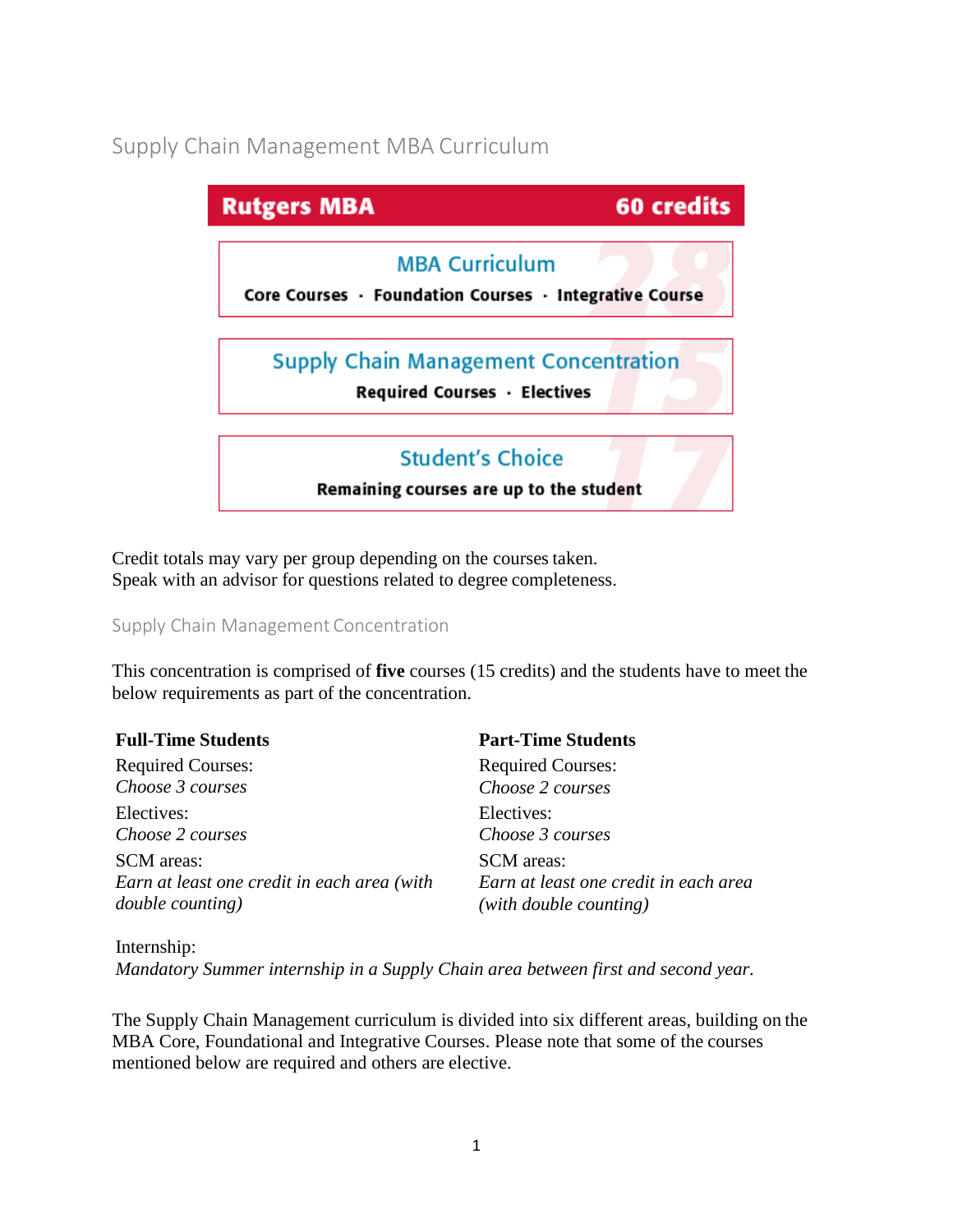# Supply Chain Management MBA Curriculum

| <b>Rutgers MBA</b>                                                              | <b>60 credits</b> |
|---------------------------------------------------------------------------------|-------------------|
| <b>MBA Curriculum</b><br>Core Courses · Foundation Courses · Integrative Course |                   |
| <b>Supply Chain Management Concentration</b><br>Required Courses · Electives    |                   |
| <b>Student's Choice</b><br>Remaining courses are up to the student              |                   |

Credit totals may vary per group depending on the courses taken. Speak with an advisor for questions related to degree completeness.

#### Supply Chain Management Concentration

This concentration is comprised of **five** courses (15 credits) and the students have to meet the below requirements as part of the concentration.

| <b>Full-Time Students</b>                   | <b>Part-Time Students</b>             |
|---------------------------------------------|---------------------------------------|
| <b>Required Courses:</b>                    | <b>Required Courses:</b>              |
| Choose 3 courses                            | Choose 2 courses                      |
| Electives:                                  | Electives:                            |
| Choose 2 courses                            | Choose 3 courses                      |
| <b>SCM</b> areas:                           | <b>SCM</b> areas:                     |
| Earn at least one credit in each area (with | Earn at least one credit in each area |
| <i>double counting</i> )                    | (with double counting)                |

Internship: *Mandatory Summer internship in a Supply Chain area between first and second year.*

The Supply Chain Management curriculum is divided into six different areas, building on the MBA Core, Foundational and Integrative Courses. Please note that some of the courses mentioned below are required and others are elective.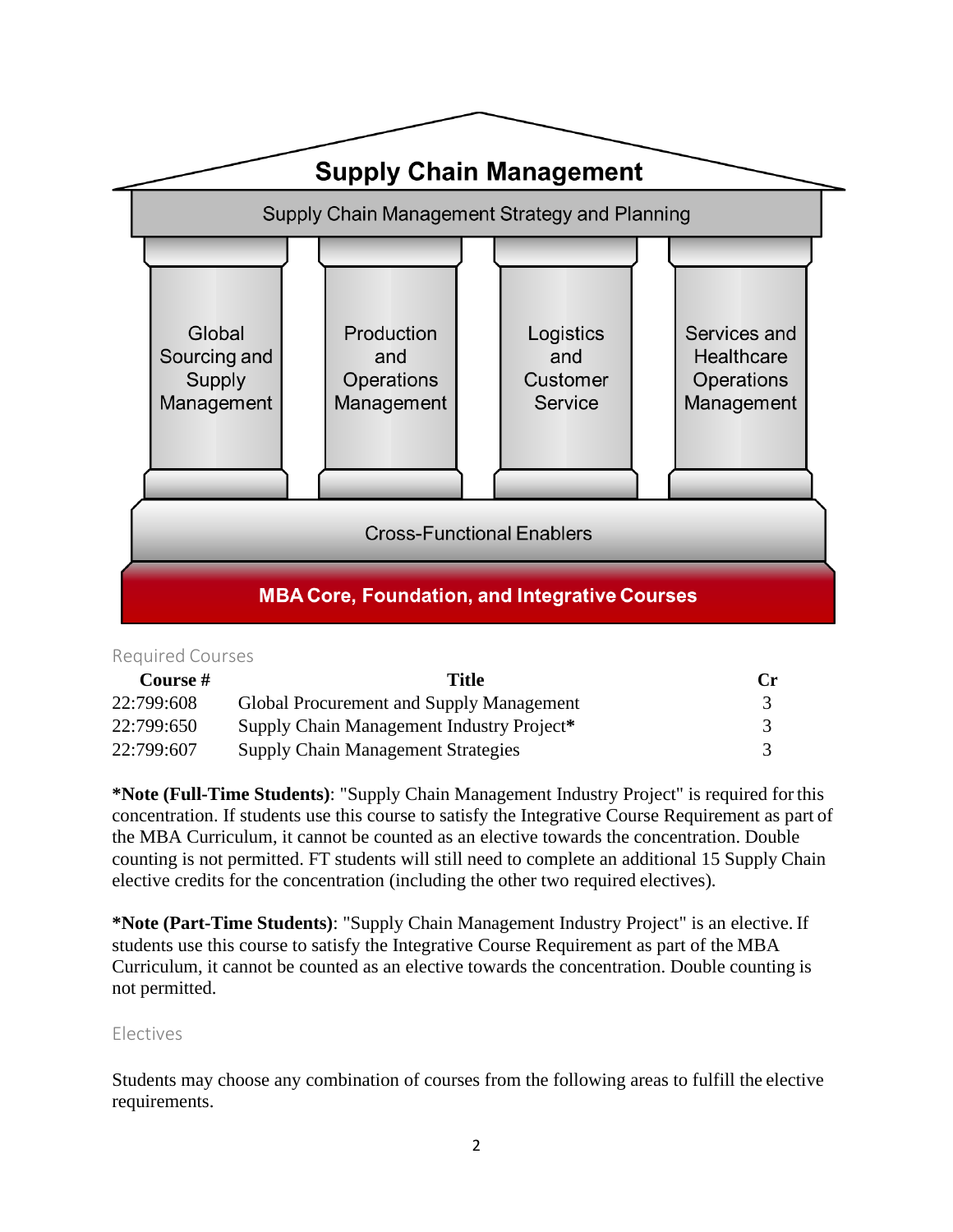

#### Required Courses

| Course #   | Title                                     | $C_{\Gamma}$ |
|------------|-------------------------------------------|--------------|
| 22:799:608 | Global Procurement and Supply Management  |              |
| 22:799:650 | Supply Chain Management Industry Project* |              |
| 22:799:607 | <b>Supply Chain Management Strategies</b> |              |

**\*Note (Full-Time Students)**: "Supply Chain Management Industry Project" is required forthis concentration. If students use this course to satisfy the Integrative Course Requirement as part of the MBA Curriculum, it cannot be counted as an elective towards the concentration. Double counting is not permitted. FT students will still need to complete an additional 15 Supply Chain elective credits for the concentration (including the other two required electives).

**\*Note (Part-Time Students)**: "Supply Chain Management Industry Project" is an elective. If students use this course to satisfy the Integrative Course Requirement as part of the MBA Curriculum, it cannot be counted as an elective towards the concentration. Double counting is not permitted.

#### Electives

Students may choose any combination of courses from the following areas to fulfill the elective requirements.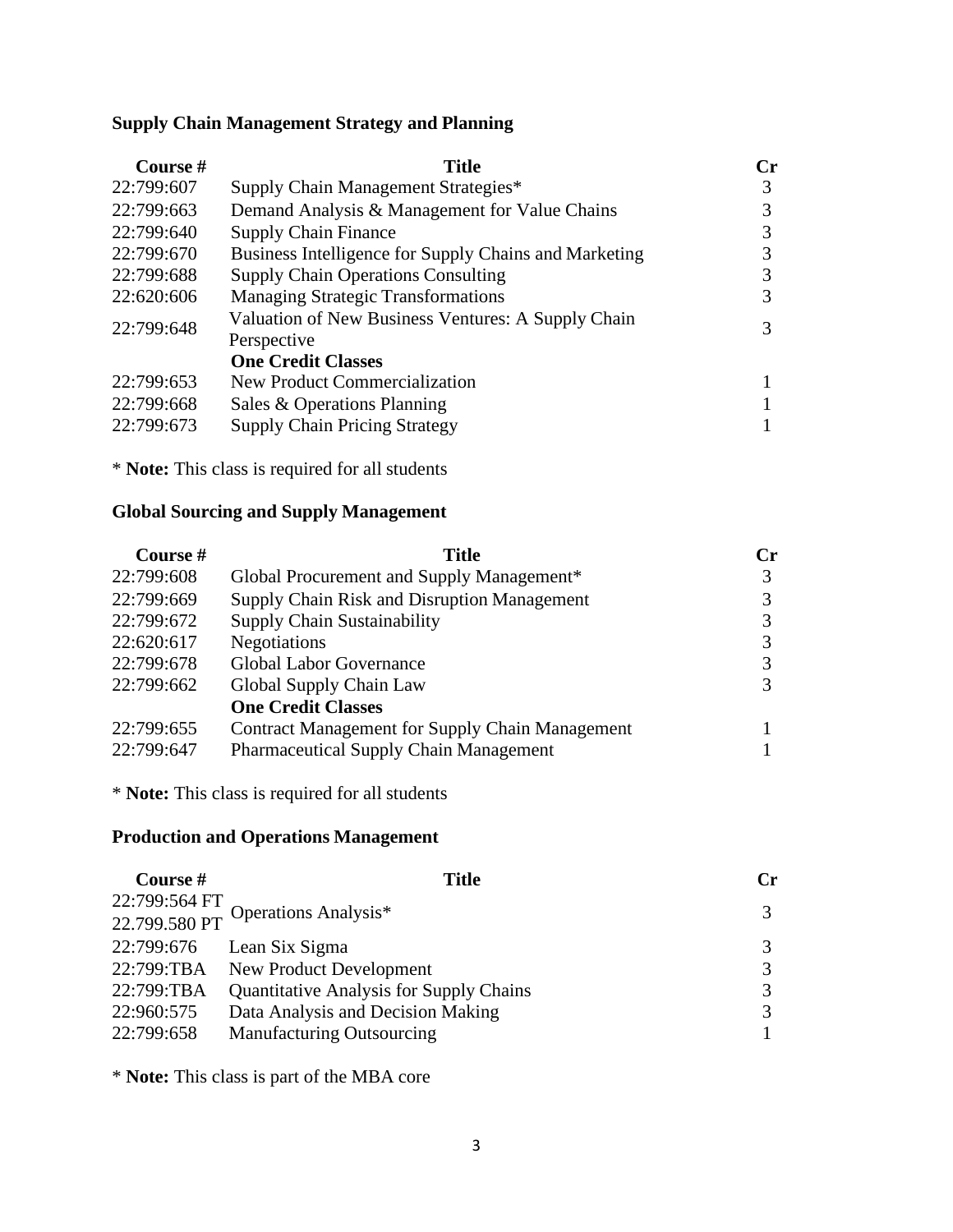#### **Supply Chain Management Strategy and Planning**

| Course #   | Title                                                             | Сr |
|------------|-------------------------------------------------------------------|----|
| 22:799:607 | Supply Chain Management Strategies*                               | 3  |
| 22:799:663 | Demand Analysis & Management for Value Chains                     | 3  |
| 22:799:640 | <b>Supply Chain Finance</b>                                       | 3  |
| 22:799:670 | Business Intelligence for Supply Chains and Marketing             | 3  |
| 22:799:688 | <b>Supply Chain Operations Consulting</b>                         | 3  |
| 22:620:606 | <b>Managing Strategic Transformations</b>                         | 3  |
| 22:799:648 | Valuation of New Business Ventures: A Supply Chain<br>Perspective | 3  |
|            | <b>One Credit Classes</b>                                         |    |
| 22:799:653 | New Product Commercialization                                     |    |
| 22:799:668 | Sales & Operations Planning                                       |    |
| 22:799:673 | <b>Supply Chain Pricing Strategy</b>                              |    |

\* **Note:** This class is required for all students

### **Global Sourcing and Supply Management**

| Course#    | Title                                                  | Сr |
|------------|--------------------------------------------------------|----|
| 22:799:608 | Global Procurement and Supply Management*              |    |
| 22:799:669 | Supply Chain Risk and Disruption Management            |    |
| 22:799:672 | <b>Supply Chain Sustainability</b>                     |    |
| 22:620:617 | <b>Negotiations</b>                                    |    |
| 22:799:678 | <b>Global Labor Governance</b>                         |    |
| 22:799:662 | Global Supply Chain Law                                |    |
|            | <b>One Credit Classes</b>                              |    |
| 22:799:655 | <b>Contract Management for Supply Chain Management</b> |    |
| 22:799:647 | <b>Pharmaceutical Supply Chain Management</b>          |    |

\* **Note:** This class is required for all students

## **Production and Operations Management**

| Course #   | <b>Title</b>                                        | Cr |
|------------|-----------------------------------------------------|----|
|            |                                                     |    |
|            | 22:799:564 FT<br>22.799.580 PT Operations Analysis* | 3  |
| 22:799:676 | Lean Six Sigma                                      | 3  |
| 22:799:TBA | New Product Development                             | 3  |
| 22:799:TBA | <b>Quantitative Analysis for Supply Chains</b>      | 3  |
| 22:960:575 | Data Analysis and Decision Making                   | 3  |
| 22:799:658 | <b>Manufacturing Outsourcing</b>                    |    |

\* **Note:** This class is part of the MBA core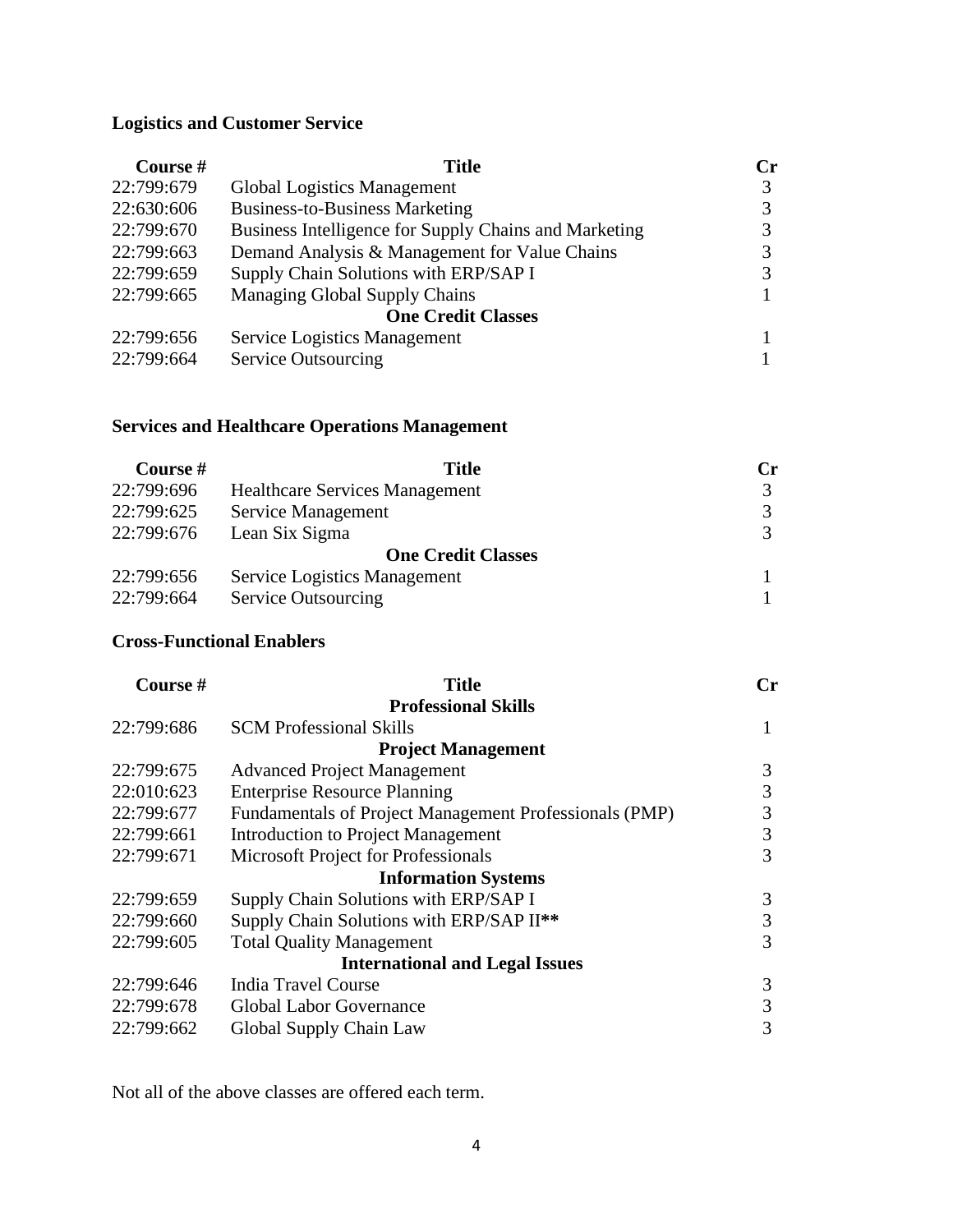## **Logistics and Customer Service**

| Course #   | Title                                                 | $\mathbf{C}$ r |
|------------|-------------------------------------------------------|----------------|
| 22:799:679 | <b>Global Logistics Management</b>                    |                |
| 22:630:606 | <b>Business-to-Business Marketing</b>                 |                |
| 22:799:670 | Business Intelligence for Supply Chains and Marketing |                |
| 22:799:663 | Demand Analysis & Management for Value Chains         |                |
| 22:799:659 | Supply Chain Solutions with ERP/SAP I                 |                |
| 22:799:665 | Managing Global Supply Chains                         |                |
|            | <b>One Credit Classes</b>                             |                |
| 22:799:656 | <b>Service Logistics Management</b>                   |                |
| 22:799:664 | <b>Service Outsourcing</b>                            |                |

## **Services and Healthcare Operations Management**

| Course #   | <b>Title</b>                          | Cr |
|------------|---------------------------------------|----|
| 22:799:696 | <b>Healthcare Services Management</b> | 3  |
| 22:799:625 | Service Management                    |    |
| 22:799:676 | Lean Six Sigma                        | 3  |
|            | <b>One Credit Classes</b>             |    |
| 22:799:656 | Service Logistics Management          |    |
| 22:799:664 | <b>Service Outsourcing</b>            |    |

### **Cross-Functional Enablers**

| Course#    | <b>Title</b>                                           | $C_{r}$ |
|------------|--------------------------------------------------------|---------|
|            | <b>Professional Skills</b>                             |         |
| 22:799:686 | <b>SCM Professional Skills</b>                         | 1       |
|            | <b>Project Management</b>                              |         |
| 22:799:675 | <b>Advanced Project Management</b>                     | 3       |
| 22:010:623 | <b>Enterprise Resource Planning</b>                    | 3       |
| 22:799:677 | Fundamentals of Project Management Professionals (PMP) | 3       |
| 22:799:661 | <b>Introduction to Project Management</b>              | 3       |
| 22:799:671 | Microsoft Project for Professionals                    | 3       |
|            | <b>Information Systems</b>                             |         |
| 22:799:659 | Supply Chain Solutions with ERP/SAP I                  | 3       |
| 22:799:660 | Supply Chain Solutions with ERP/SAP II <sup>**</sup>   | 3       |
| 22:799:605 | <b>Total Quality Management</b>                        | 3       |
|            | <b>International and Legal Issues</b>                  |         |
| 22:799:646 | <b>India Travel Course</b>                             | 3       |
| 22:799:678 | <b>Global Labor Governance</b>                         | 3       |
| 22:799:662 | Global Supply Chain Law                                | 3       |

Not all of the above classes are offered each term.